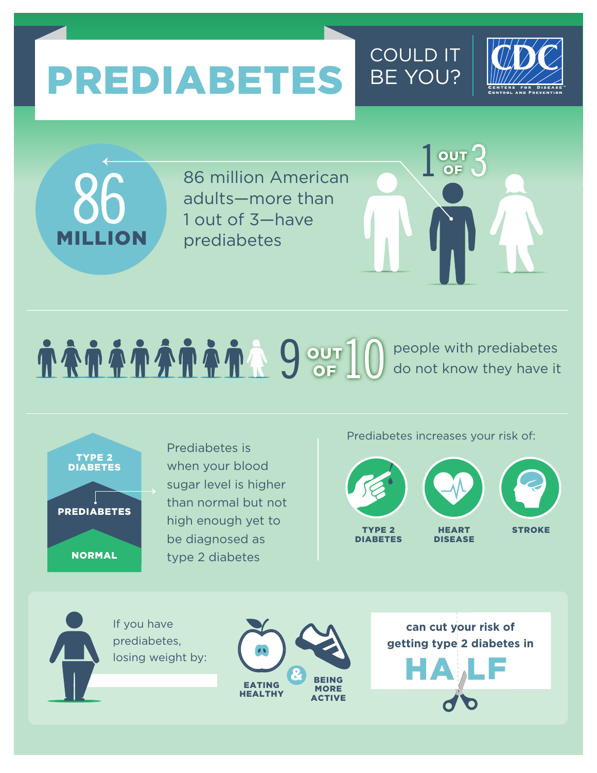# PREDIABETES BE YOU?





86 million American adults—more than 1 out of 3—have prediabetes

## **9 OUT** 10 people with prediabetes do not know they have it do not know they have it

NORMAL PREDIABETES TYPE 2 DIABETES

Prediabetes is when your blood sugar level is higher than normal but not high enough yet to be diagnosed as type 2 diabetes

Prediabetes increases your risk of:

 $1<sup>out</sup>$ 

COULD IT